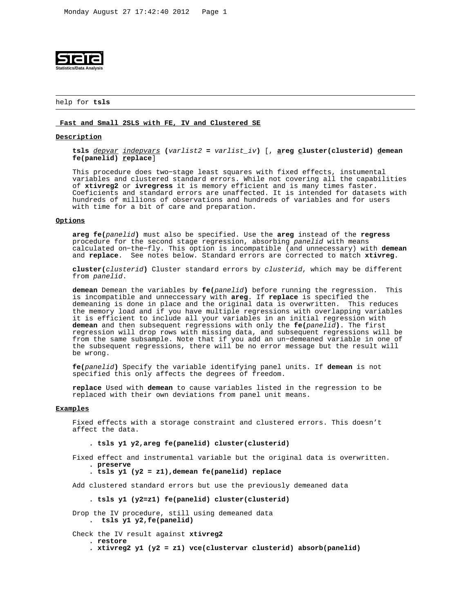

# help for **tsls**

### **Fast and Small 2SLS with FE, IV and Clustered SE**

### **Description**

 **tsls** depvar indepvars **(**varlist2 **=** varlist\_iv**)** [, **areg cluster(clusterid) demean fe(panelid) replace**]

 This procedure does two−stage least squares with fixed effects, instumental variables and clustered standard errors. While not covering all the capabilities of **xtivreg2** or **ivregress** it is memory efficient and is many times faster. Coeficients and standard errors are unaffected. It is intended for datasets with hundreds of millions of observations and hundreds of variables and for users with time for a bit of care and preparation.

## **Options**

 **areg fe(**panelid**)** must also be specified. Use the **areg** instead of the **regress** procedure for the second stage regression, absorbing panelid with means calculated on−the−fly. This option is incompatible (and unnecessary) with **demean** and **replace**. See notes below. Standard errors are corrected to match **xtivreg**.

 **cluster(**clusterid**)** Cluster standard errors by clusterid, which may be different from panelid.

 **demean** Demean the variables by **fe(**panelid**)** before running the regression. This is incompatible and unneccessary with **areg**. If **replace** is specified the demeaning is done in place and the original data is overwritten. This reduces the memory load and if you have multiple regressions with overlapping variables it is efficient to include all your variables in an initial regression with **demean** and then subsequent regressions with only the **fe(**panelid**)**. The first regression will drop rows with missing data, and subsequent regressions will be from the same subsample. Note that if you add an un−demeaned variable in one of the subsequent regressions, there will be no error message but the result will be wrong.

 **fe(**panelid**)** Specify the variable identifying panel units. If **demean** is not specified this only affects the degrees of freedom.

 **replace** Used with **demean** to cause variables listed in the regression to be replaced with their own deviations from panel unit means.

## **Examples**

 Fixed effects with a storage constraint and clustered errors. This doesn't affect the data.

**. tsls y1 y2,areg fe(panelid) cluster(clusterid)**

 Fixed effect and instrumental variable but the original data is overwritten. **. preserve**

**. tsls y1 (y2 = z1),demean fe(panelid) replace**

Add clustered standard errors but use the previously demeaned data

**. tsls y1 (y2=z1) fe(panelid) cluster(clusterid)**

```
 Drop the IV procedure, still using demeaned data
. tsls y1 y2,fe(panelid)
```

```
 Check the IV result against xtivreg2
```
 **. restore . xtivreg2 y1 (y2 = z1) vce(clustervar clusterid) absorb(panelid)**